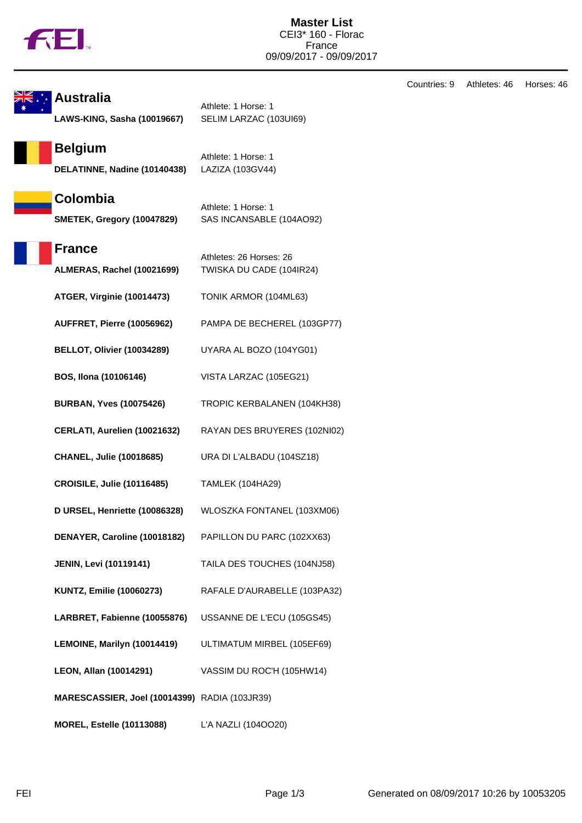

**Australia** Athlete: 1 Horse: 1 **LAWS-KING, Sasha (10019667)** SELIM LARZAC (103UI69) **Belgium** Athlete: 1 Horse: 1 **DELATINNE, Nadine (10140438)** LAZIZA (103GV44) **Colombia** Athlete: 1 Horse: 1 **SMETEK, Gregory (10047829)** SAS INCANSABLE (104AO92) **France** Athletes: 26 Horses: 26 **ALMERAS, Rachel (10021699)** TWISKA DU CADE (104IR24) **ATGER, Virginie (10014473)** TONIK ARMOR (104ML63) **AUFFRET, Pierre (10056962)** PAMPA DE BECHEREL (103GP77) **BELLOT, Olivier (10034289)** UYARA AL BOZO (104YG01) **BOS, Ilona (10106146)** VISTA LARZAC (105EG21) **BURBAN, Yves (10075426)** TROPIC KERBALANEN (104KH38) **CERLATI, Aurelien (10021632)** RAYAN DES BRUYERES (102NI02) **CHANEL, Julie (10018685)** URA DI L'ALBADU (104SZ18) **CROISILE, Julie (10116485)** TAMLEK (104HA29) **D URSEL, Henriette (10086328)** WLOSZKA FONTANEL (103XM06) **DENAYER, Caroline (10018182)** PAPILLON DU PARC (102XX63) **JENIN, Levi (10119141)** TAILA DES TOUCHES (104NJ58) **KUNTZ, Emilie (10060273)** RAFALE D'AURABELLE (103PA32) **LARBRET, Fabienne (10055876)** USSANNE DE L'ECU (105GS45) **LEMOINE, Marilyn (10014419)** ULTIMATUM MIRBEL (105EF69) **LEON, Allan (10014291)** VASSIM DU ROC'H (105HW14) **MARESCASSIER, Joel (10014399)** RADIA (103JR39) **MOREL, Estelle (10113088)** L'A NAZLI (104OO20)

Countries: 9 Athletes: 46 Horses: 46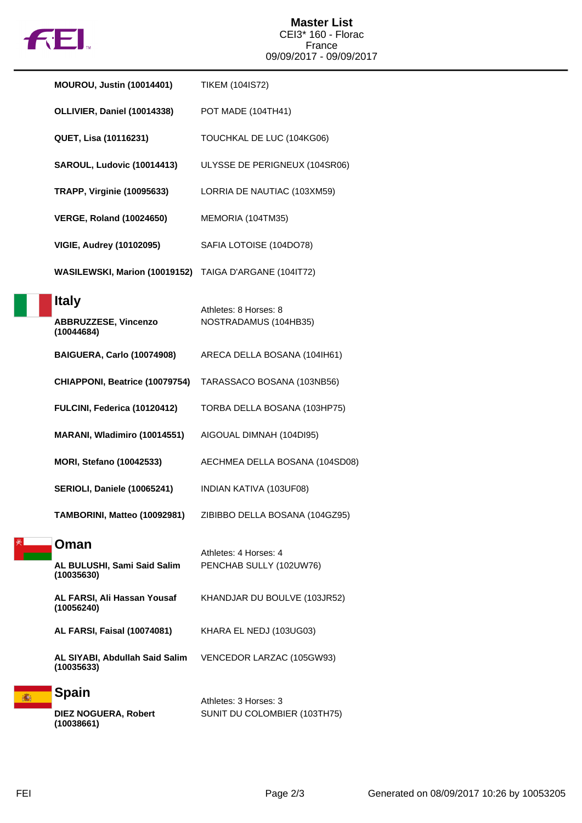

| <b>MOUROU, Justin (10014401)</b>                          | <b>TIKEM (104IS72)</b>                                |
|-----------------------------------------------------------|-------------------------------------------------------|
| OLLIVIER, Daniel (10014338)                               | POT MADE (104TH41)                                    |
| QUET, Lisa (10116231)                                     | TOUCHKAL DE LUC (104KG06)                             |
| SAROUL, Ludovic (10014413)                                | ULYSSE DE PERIGNEUX (104SR06)                         |
| <b>TRAPP, Virginie (10095633)</b>                         | LORRIA DE NAUTIAC (103XM59)                           |
| <b>VERGE, Roland (10024650)</b>                           | MEMORIA (104TM35)                                     |
| <b>VIGIE, Audrey (10102095)</b>                           | SAFIA LOTOISE (104DO78)                               |
| WASILEWSKI, Marion (10019152)                             | TAIGA D'ARGANE (104IT72)                              |
| <b>Italy</b><br><b>ABBRUZZESE, Vincenzo</b><br>(10044684) | Athletes: 8 Horses: 8<br>NOSTRADAMUS (104HB35)        |
| BAIGUERA, Carlo (10074908)                                | ARECA DELLA BOSANA (104IH61)                          |
| CHIAPPONI, Beatrice (10079754)                            | TARASSACO BOSANA (103NB56)                            |
| FULCINI, Federica (10120412)                              | TORBA DELLA BOSANA (103HP75)                          |
| MARANI, Wladimiro (10014551)                              | AIGOUAL DIMNAH (104DI95)                              |
| <b>MORI, Stefano (10042533)</b>                           | AECHMEA DELLA BOSANA (104SD08)                        |
| <b>SERIOLI, Daniele (10065241)</b>                        | INDIAN KATIVA (103UF08)                               |
| TAMBORINI, Matteo (10092981)                              | ZIBIBBO DELLA BOSANA (104GZ95)                        |
| Oman                                                      | Athletes: 4 Horses: 4                                 |
| AL BULUSHI, Sami Said Salim<br>(10035630)                 | PENCHAB SULLY (102UW76)                               |
| AL FARSI, Ali Hassan Yousaf<br>(10056240)                 | KHANDJAR DU BOULVE (103JR52)                          |
| <b>AL FARSI, Faisal (10074081)</b>                        | KHARA EL NEDJ (103UG03)                               |
| AL SIYABI, Abdullah Said Salim<br>(10035633)              | VENCEDOR LARZAC (105GW93)                             |
| <b>Spain</b><br>DIFZ NOGUFRA, Robert                      | Athletes: 3 Horses: 3<br>SUNIT DU COLOMBIER (103TH75) |

 $(1031H/5)$ 

高